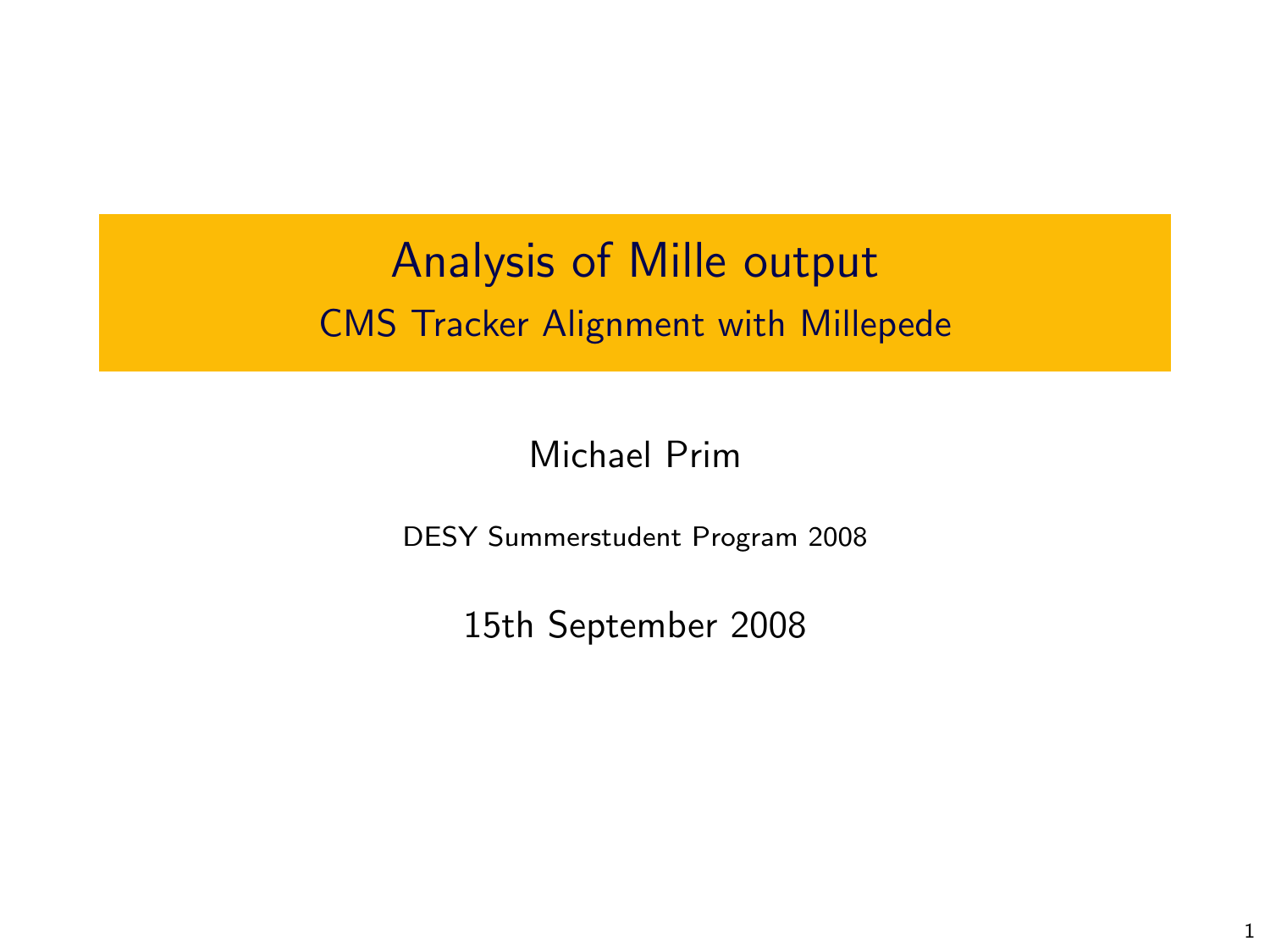Analysis of Mille output CMS Tracker Alignment with Millepede

Michael Prim

DESY Summerstudent Program 2008

15th September 2008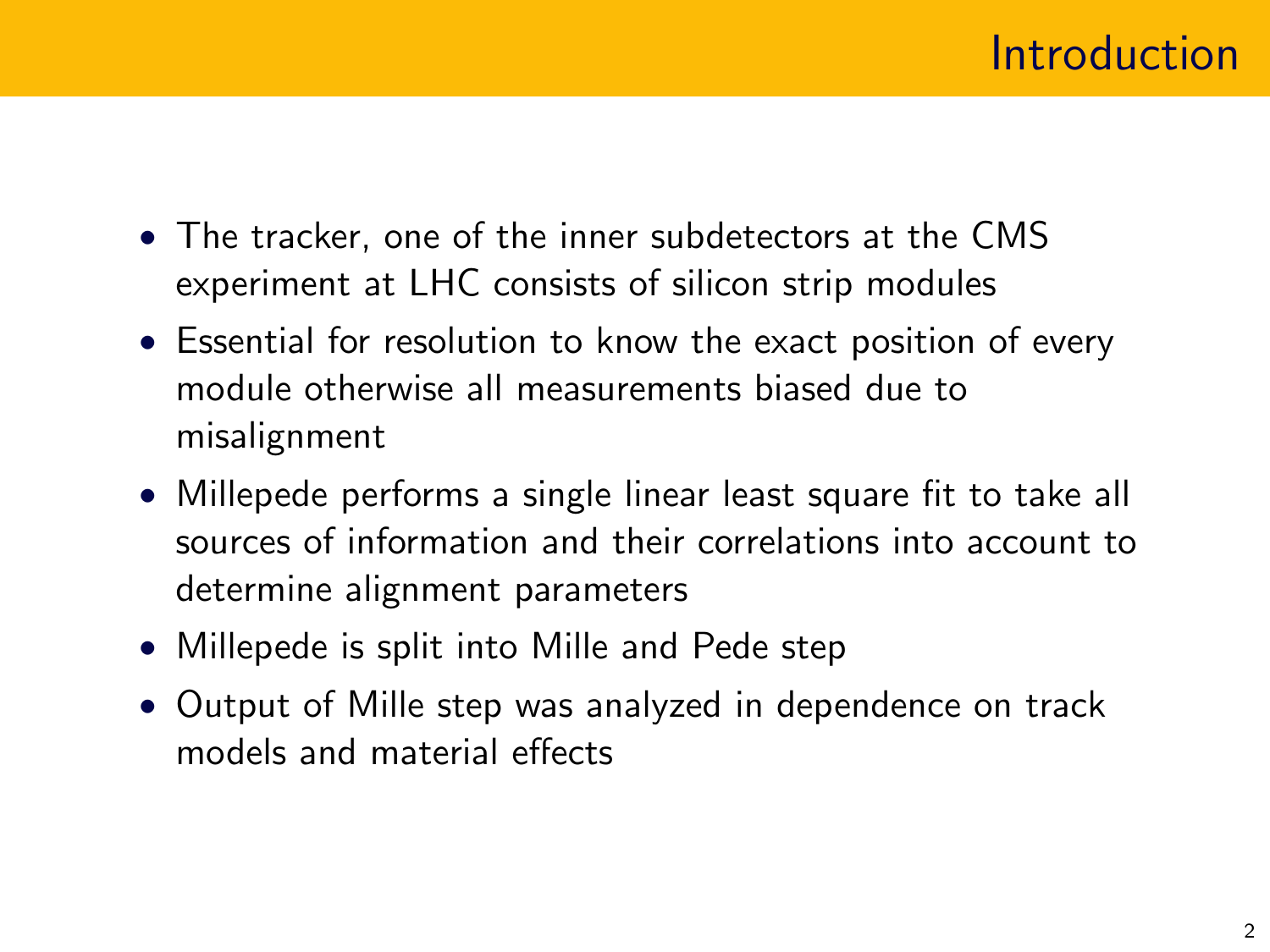- The tracker, one of the inner subdetectors at the CMS experiment at LHC consists of silicon strip modules
- Essential for resolution to know the exact position of every module otherwise all measurements biased due to misalignment
- Millepede performs a single linear least square fit to take all sources of information and their correlations into account to determine alignment parameters
- Millepede is split into Mille and Pede step
- Output of Mille step was analyzed in dependence on track models and material effects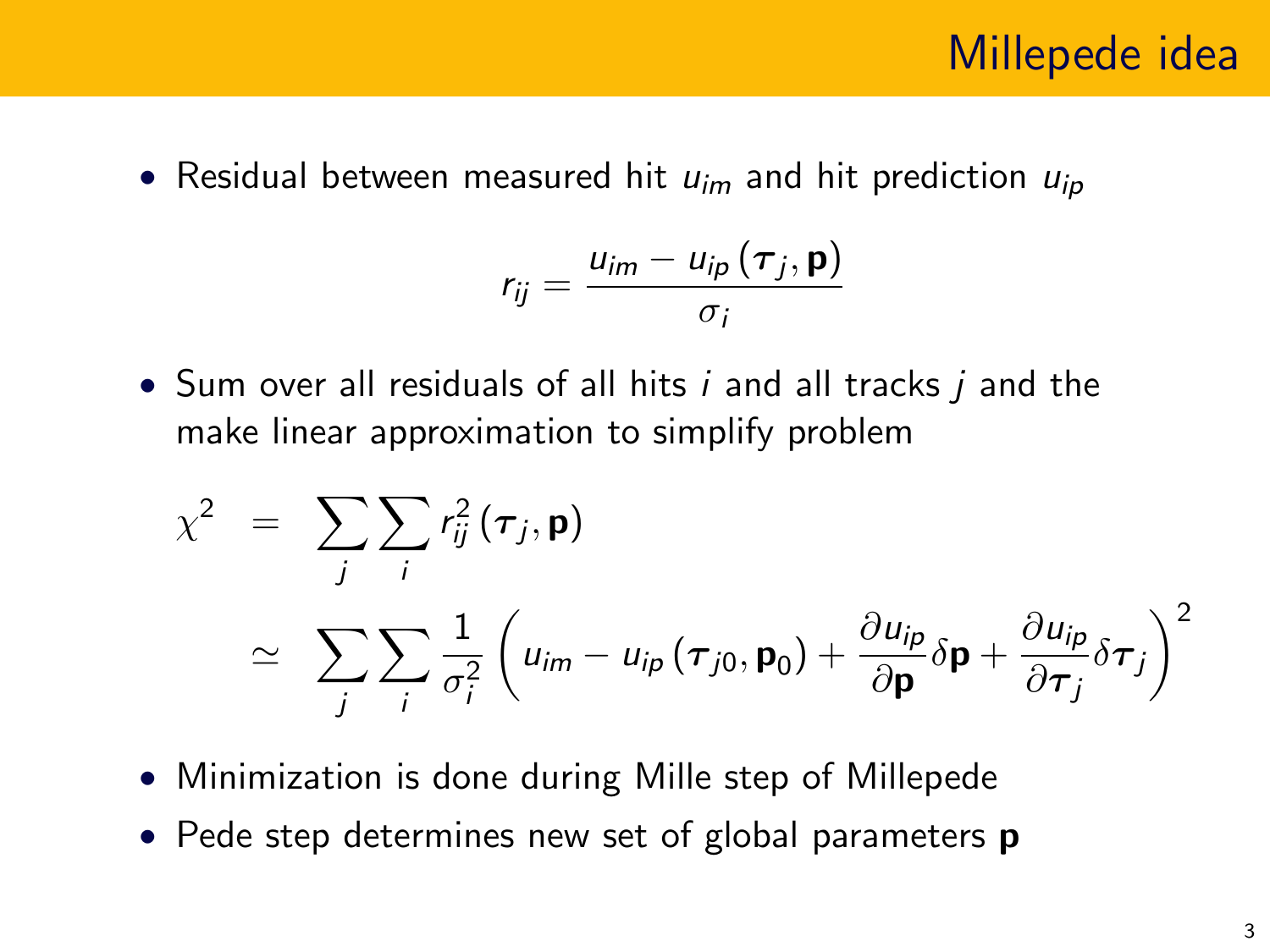• Residual between measured hit  $u_{im}$  and hit prediction  $u_{in}$ 

$$
r_{ij} = \frac{u_{im} - u_{ip}(\tau_j, \mathbf{p})}{\sigma_i}
$$

• Sum over all residuals of all hits i and all tracks i and the make linear approximation to simplify problem

$$
\chi^2 = \sum_j \sum_i r_{ij}^2 (\tau_j, \mathbf{p})
$$
  
\n
$$
\approx \sum_j \sum_i \frac{1}{\sigma_i^2} \left( u_{im} - u_{ip} (\tau_{j0}, \mathbf{p}_0) + \frac{\partial u_{ip}}{\partial \mathbf{p}} \delta \mathbf{p} + \frac{\partial u_{ip}}{\partial \tau_j} \delta \tau_j \right)^2
$$

- Minimization is done during Mille step of Millepede
- Pede step determines new set of global parameters **p**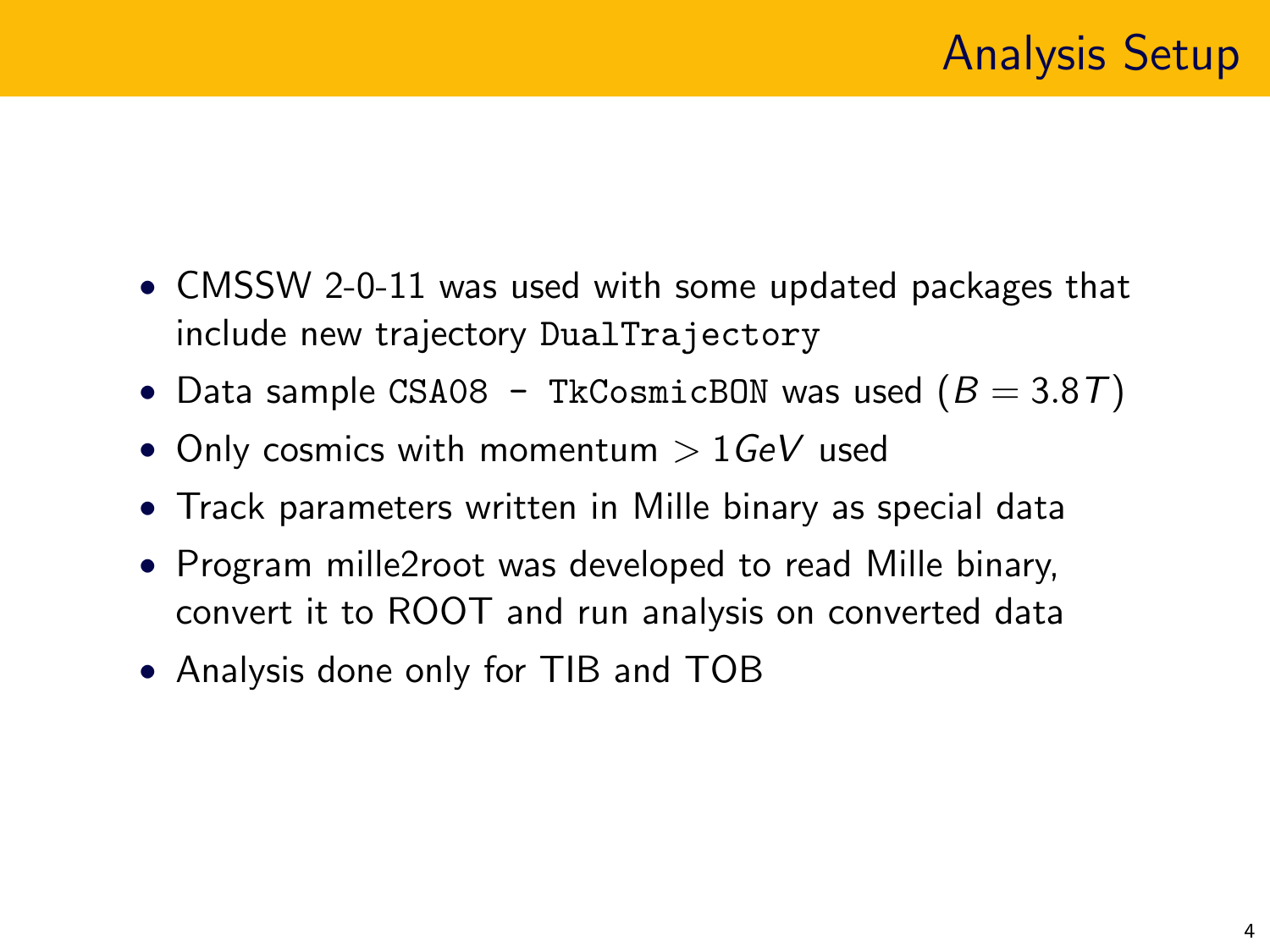- CMSSW 2-0-11 was used with some updated packages that include new trajectory DualTrajectory
- Data sample CSA08 TkCosmicBON was used  $(B = 3.8T)$
- Only cosmics with momentum  $> 1$  GeV used
- Track parameters written in Mille binary as special data
- Program mille2root was developed to read Mille binary, convert it to ROOT and run analysis on converted data
- Analysis done only for TIB and TOB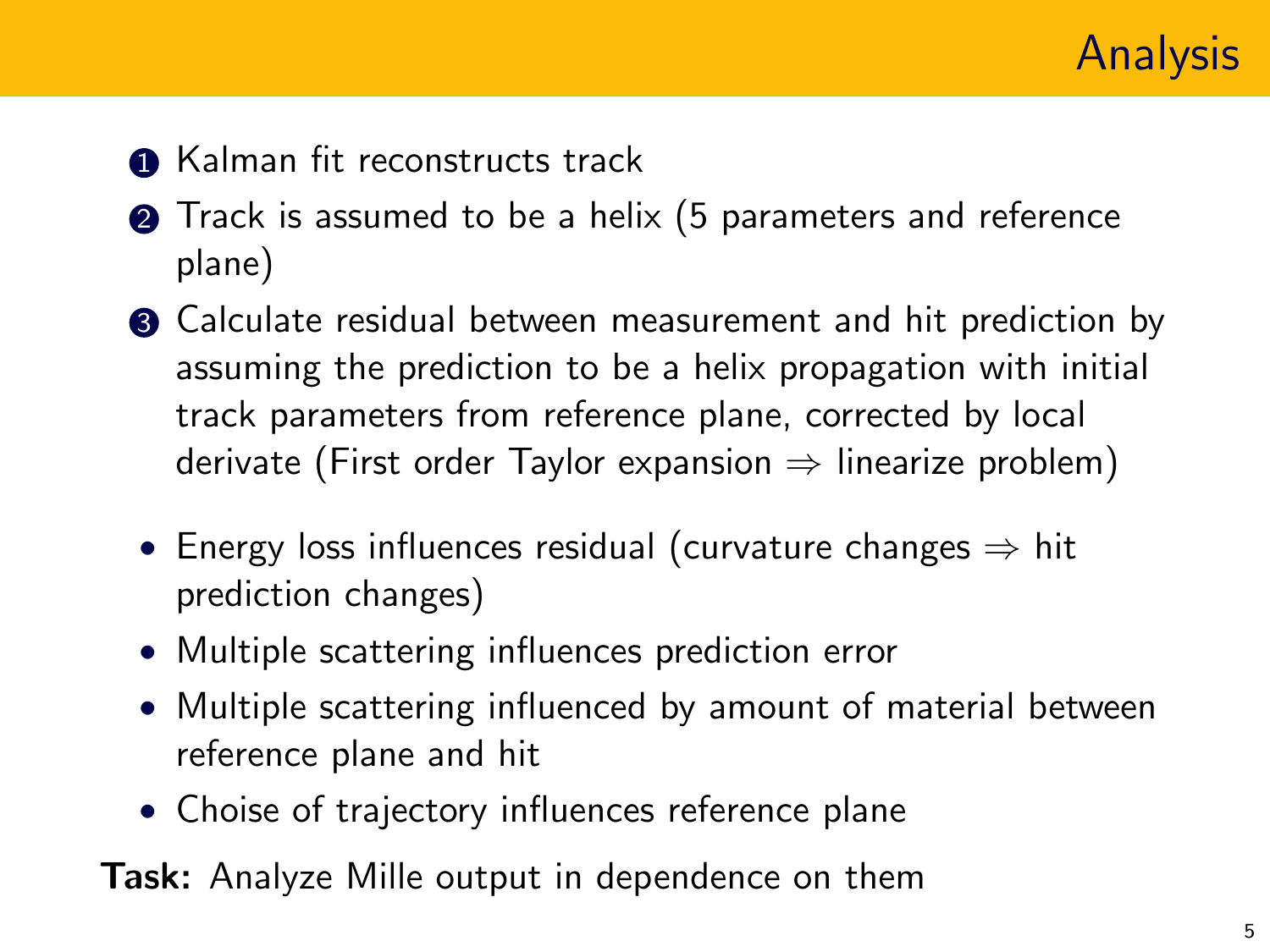

- **1** Kalman fit reconstructs track
- **2** Track is assumed to be a helix (5 parameters and reference plane)
- **3** Calculate residual between measurement and hit prediction by assuming the prediction to be a helix propagation with initial track parameters from reference plane, corrected by local derivate (First order Taylor expansion  $\Rightarrow$  linearize problem)
- Energy loss influences residual (curvature changes  $\Rightarrow$  hit prediction changes)
- Multiple scattering influences prediction error
- Multiple scattering influenced by amount of material between reference plane and hit
- Choise of trajectory influences reference plane

Task: Analyze Mille output in dependence on them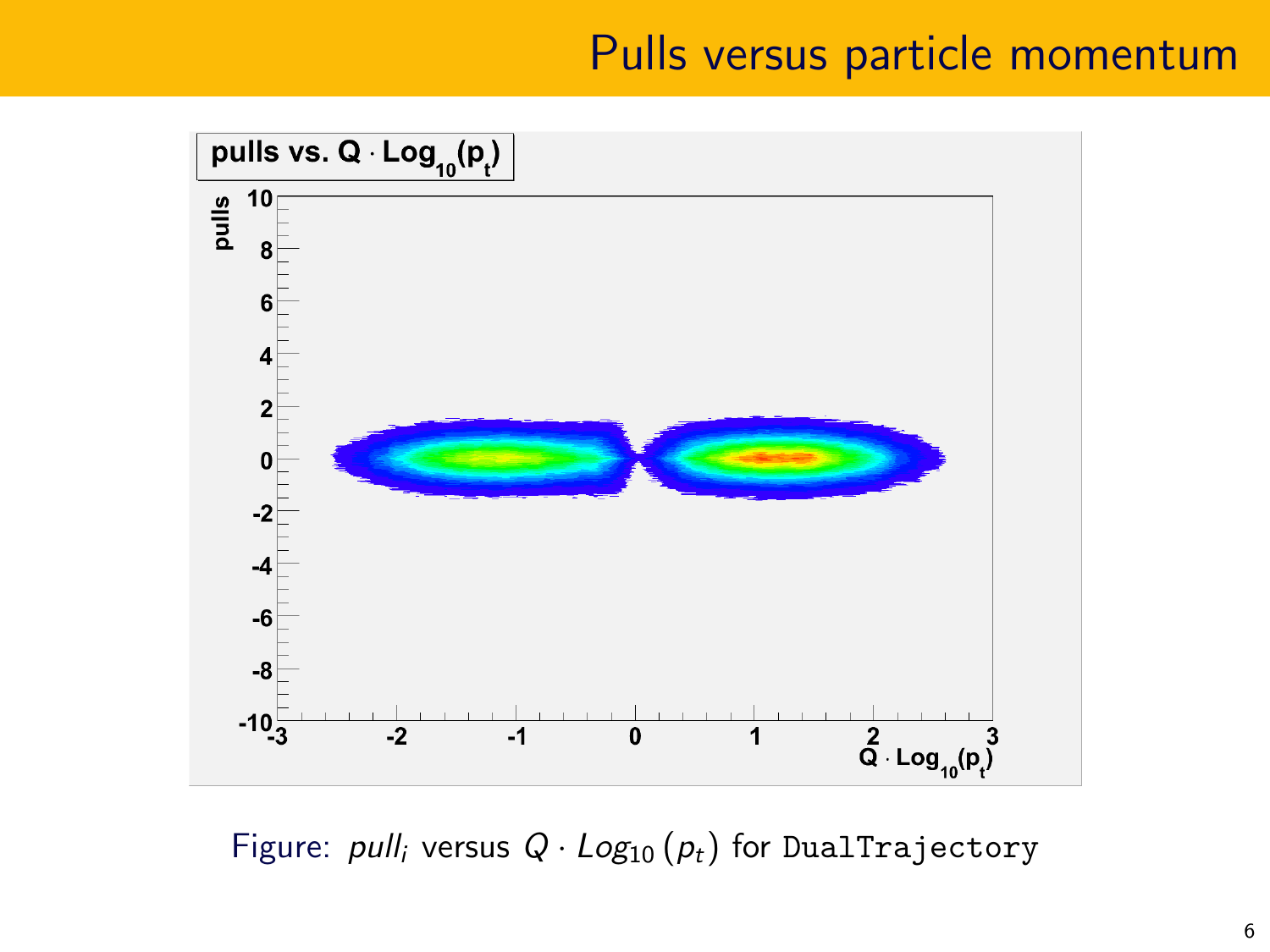## Pulls versus particle momentum



Figure: pull<sub>i</sub> versus  $Q \cdot Log_{10}(p_t)$  for DualTrajectory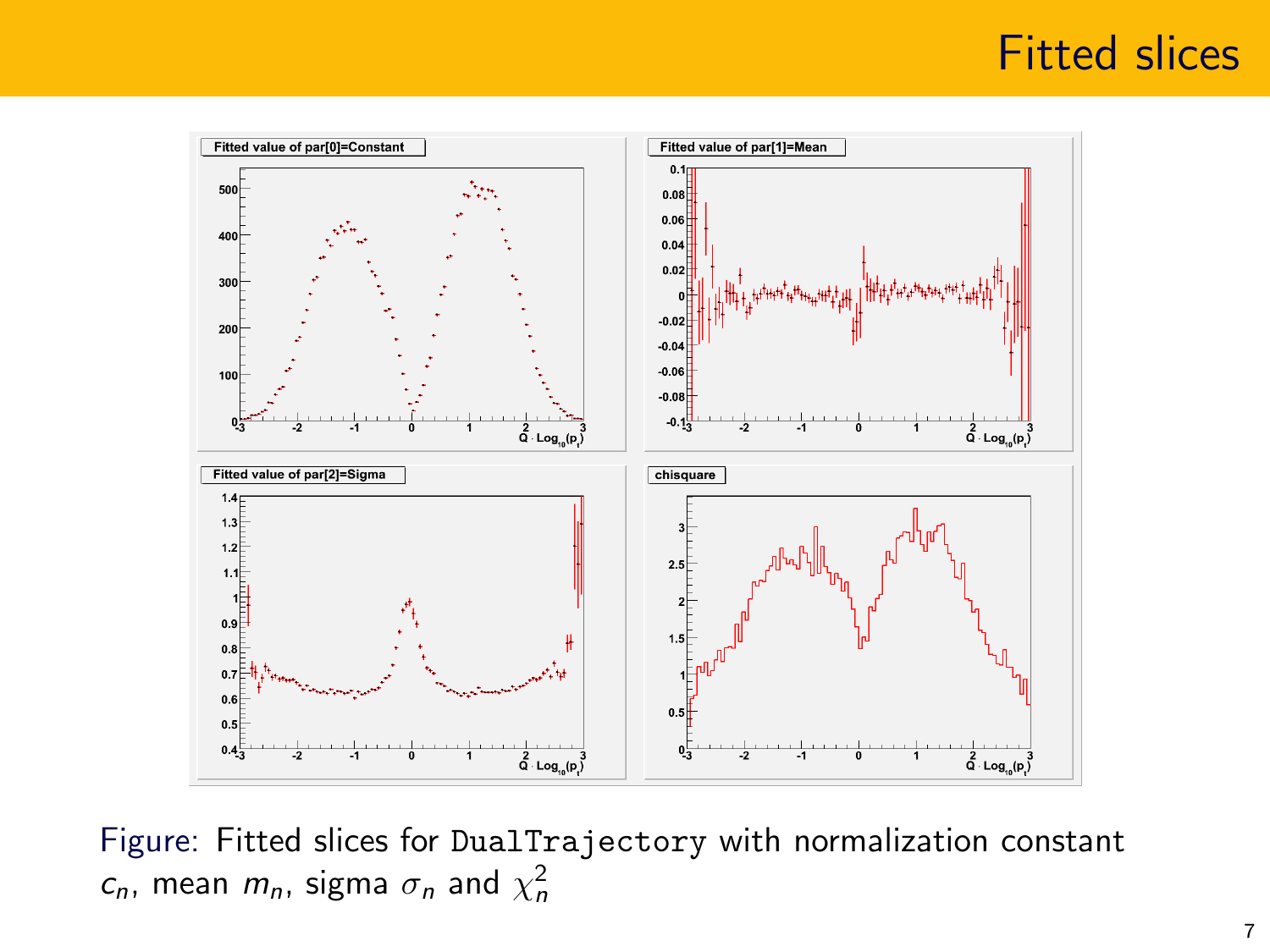#### Fitted slices



Figure: Fitted slices for DualTrajectory with normalization constant  $c_n$ , mean  $m_n$ , sigma  $\sigma_n$  and  $\chi^2_n$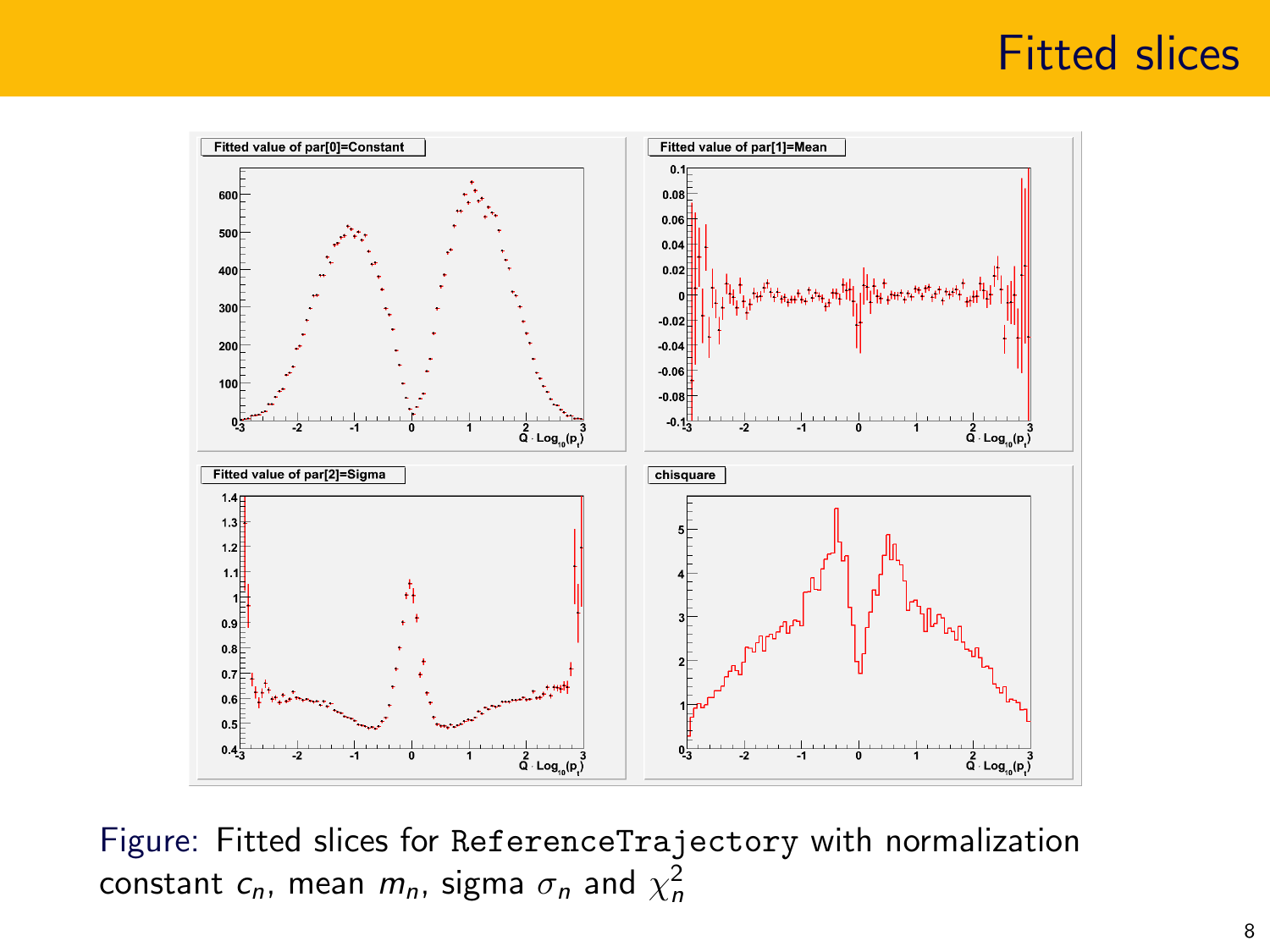#### Fitted slices



Figure: Fitted slices for ReferenceTrajectory with normalization constant  $c_n$ , mean  $m_n$ , sigma  $\sigma_n$  and  $\chi^2_n$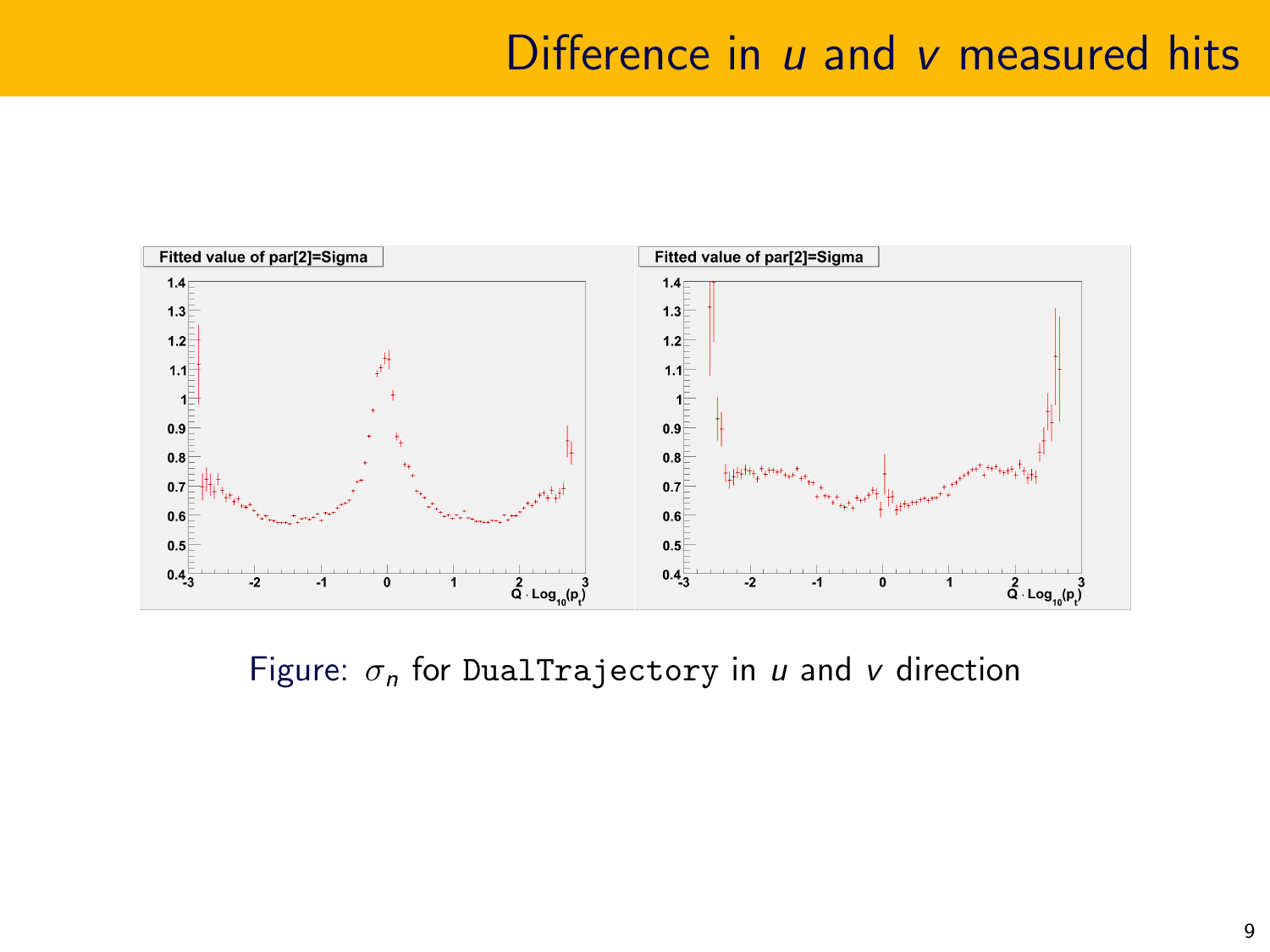#### Difference in  $u$  and  $v$  measured hits



Figure:  $\sigma_n$  for DualTrajectory in u and v direction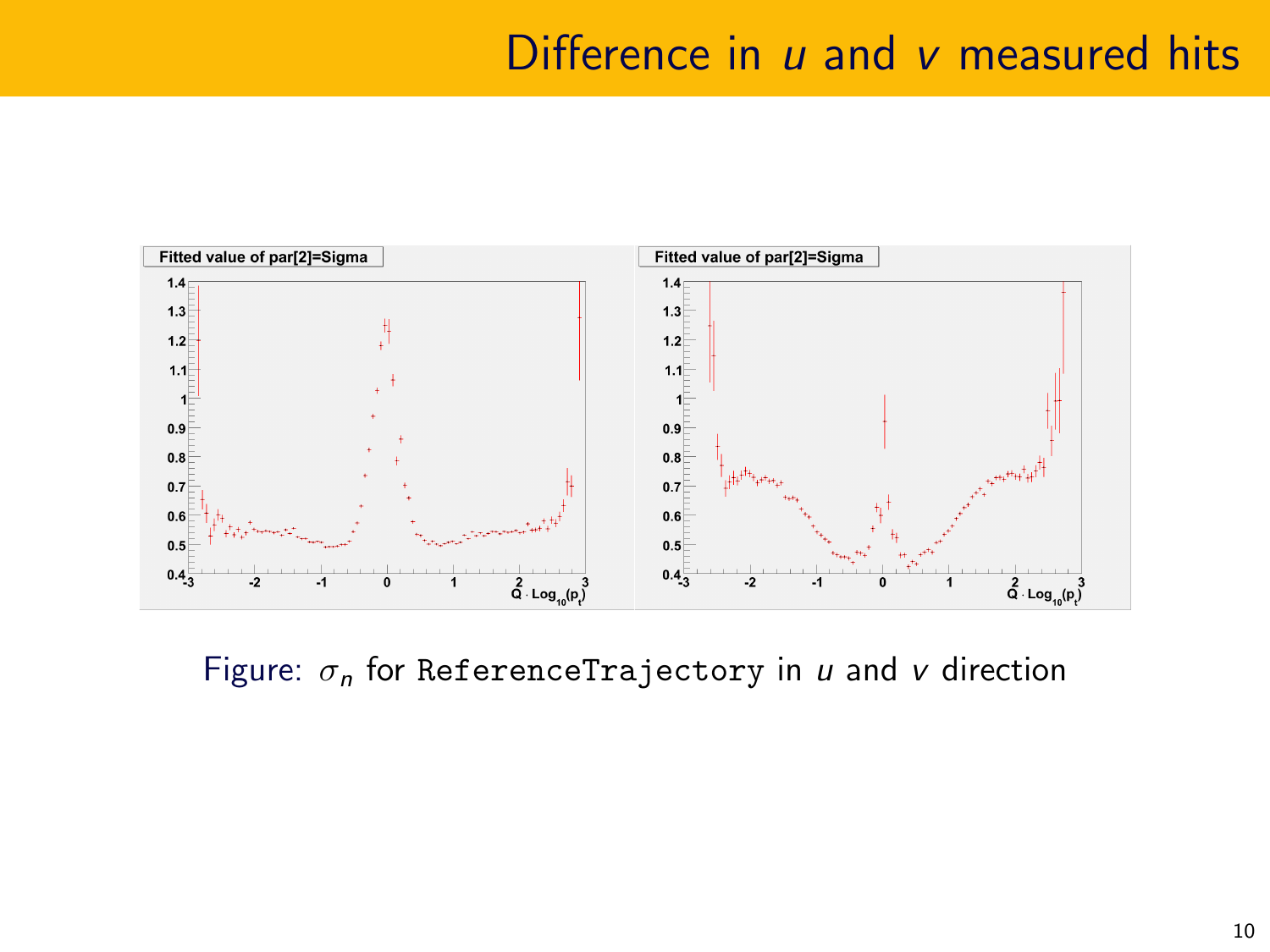#### Difference in  $u$  and  $v$  measured hits



Figure:  $\sigma_n$  for ReferenceTrajectory in u and v direction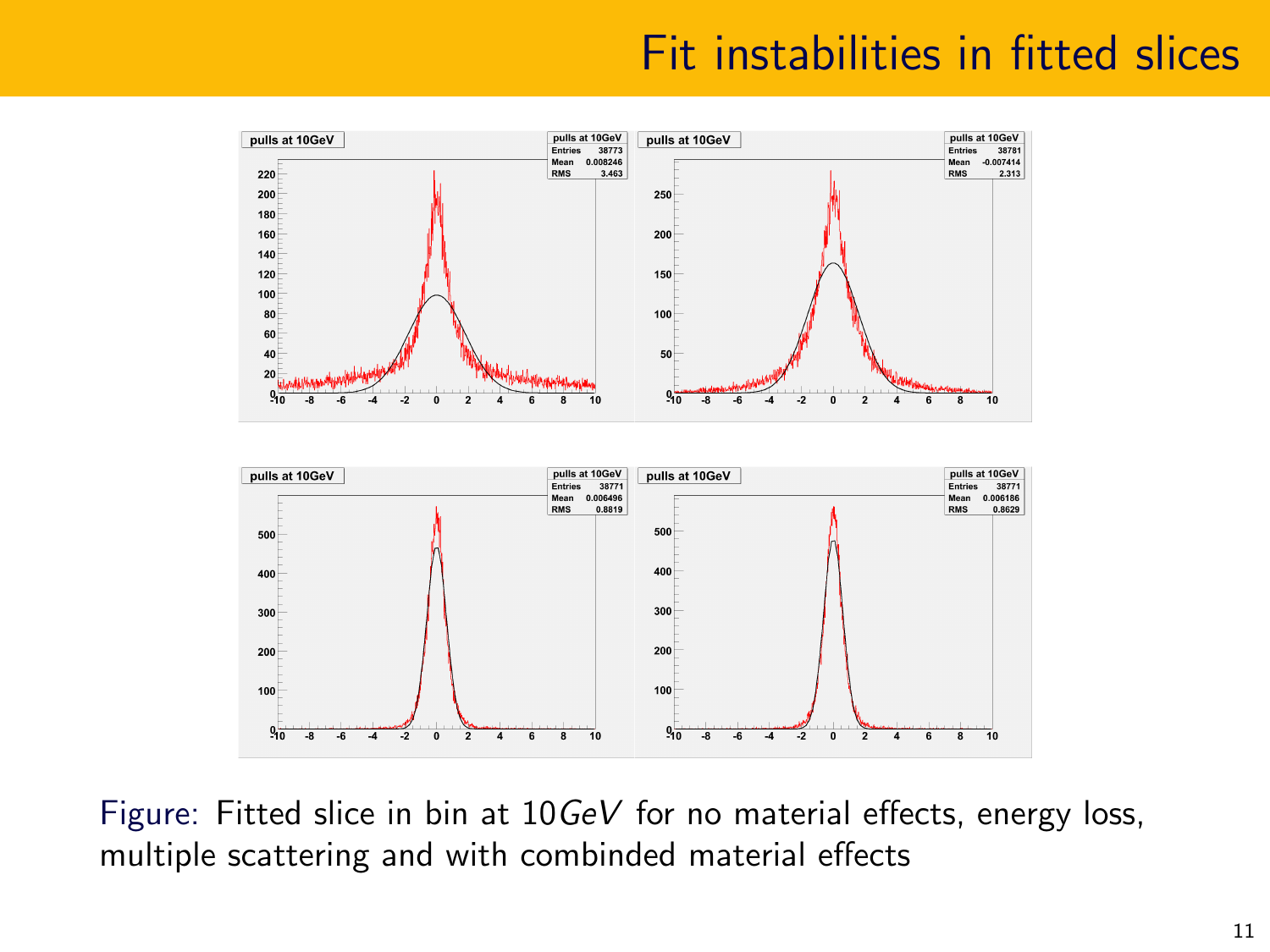# Fit instabilities in fitted slices



Figure: Fitted slice in bin at 10GeV for no material effects, energy loss, multiple scattering and with combinded material effects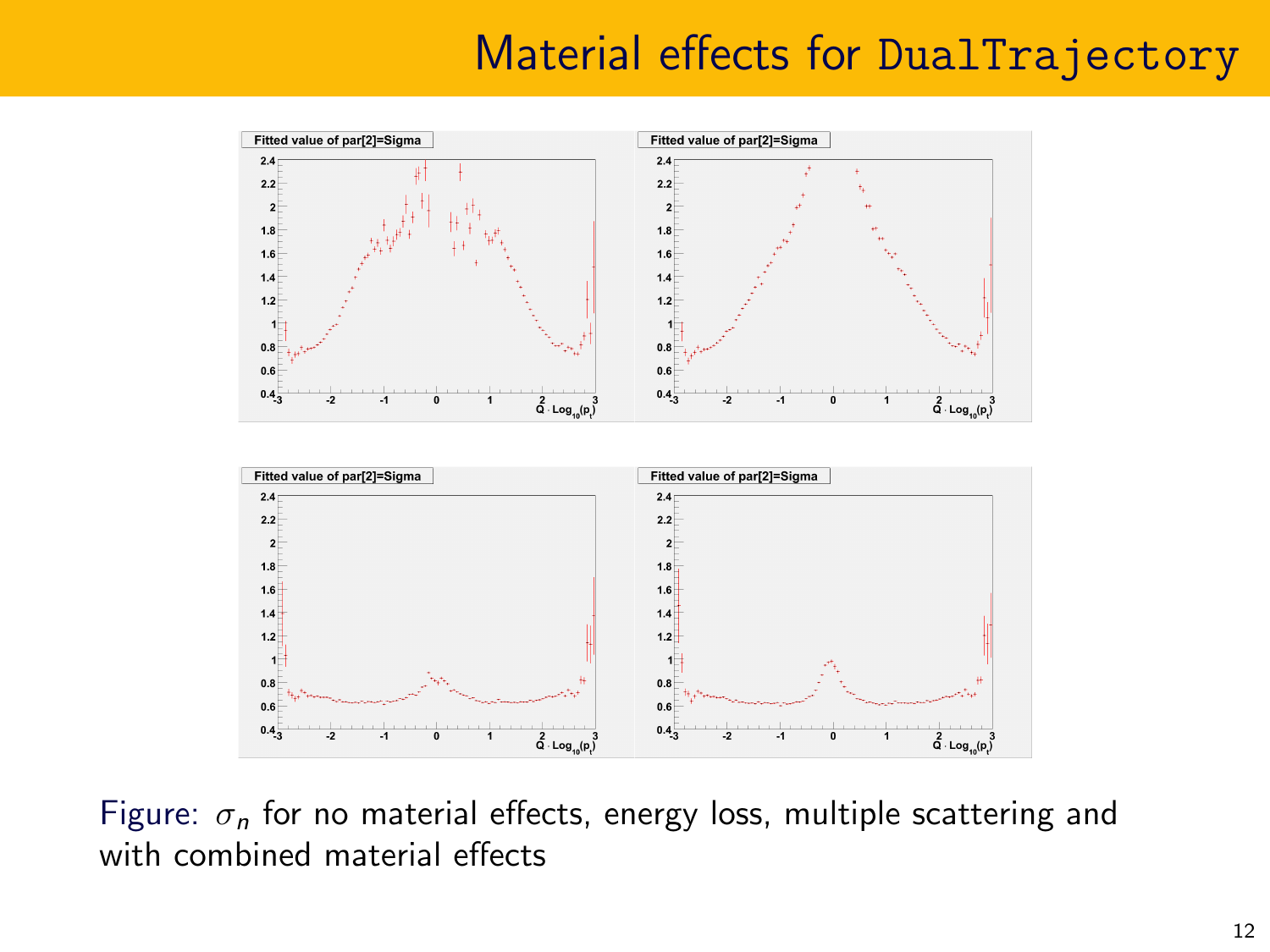## Material effects for DualTrajectory



Figure:  $\sigma_n$  for no material effects, energy loss, multiple scattering and with combined material effects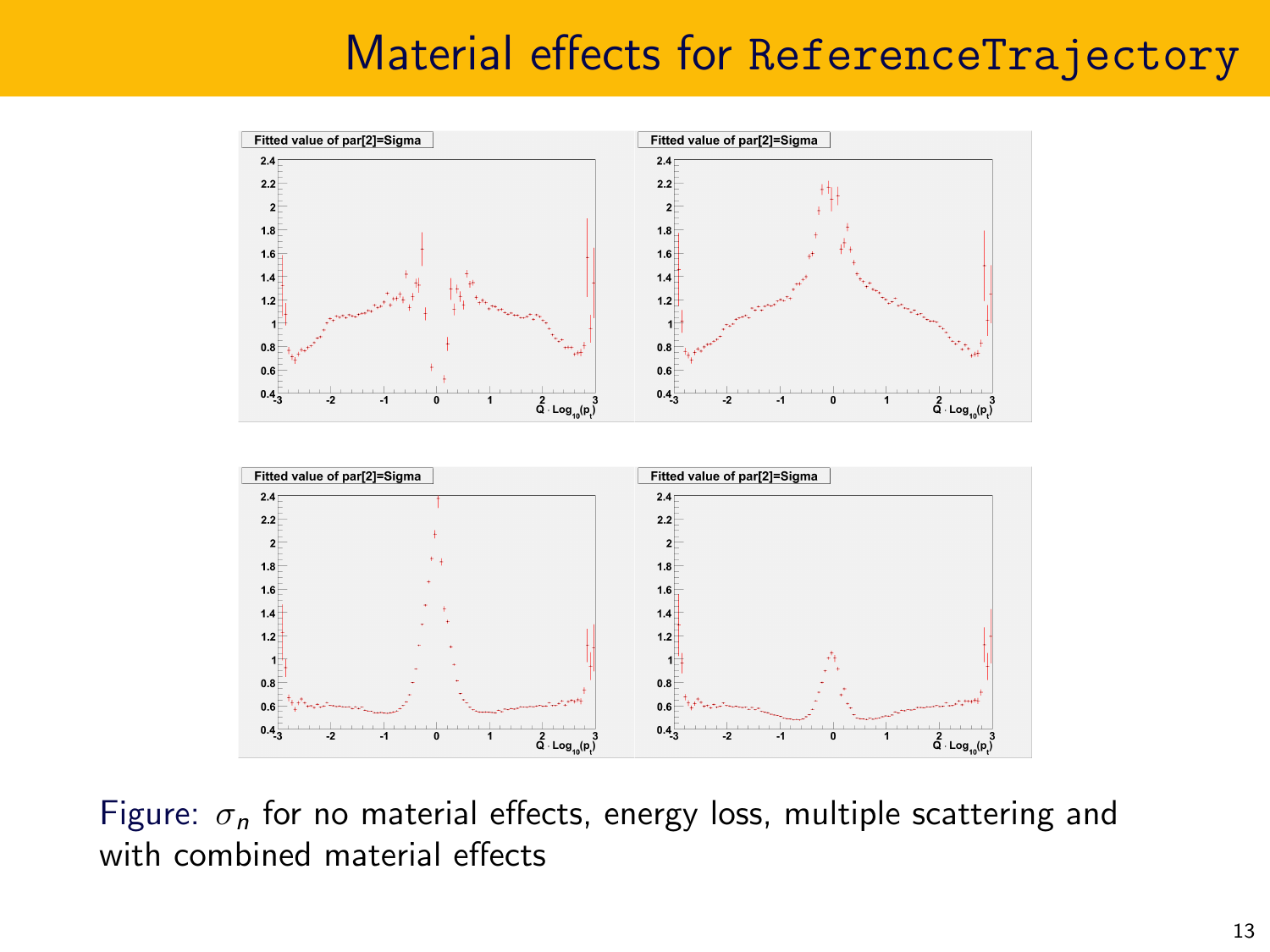# Material effects for ReferenceTrajectory



Figure:  $\sigma_n$  for no material effects, energy loss, multiple scattering and with combined material effects